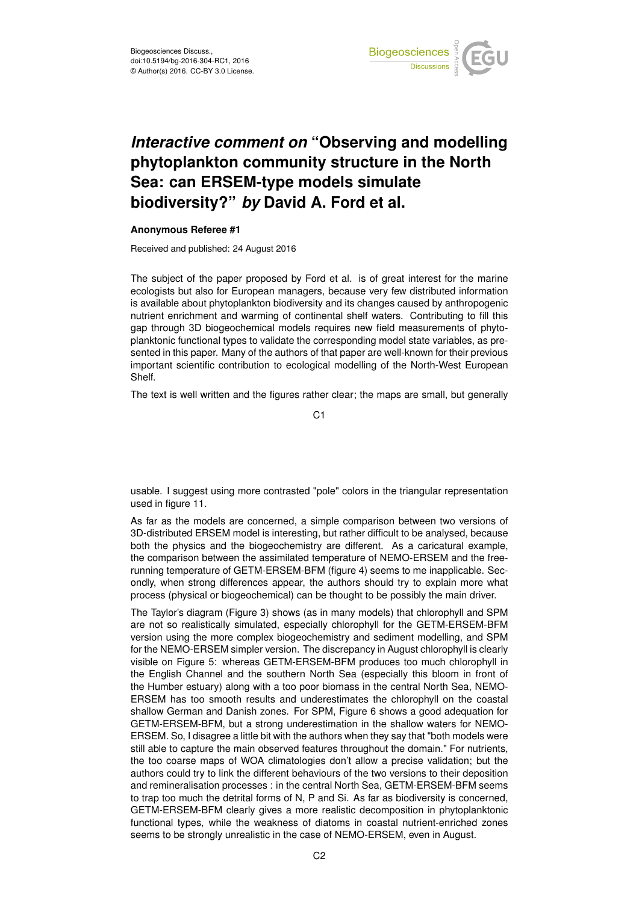

## *Interactive comment on* **"Observing and modelling phytoplankton community structure in the North Sea: can ERSEM-type models simulate biodiversity?"** *by* **David A. Ford et al.**

## **Anonymous Referee #1**

Received and published: 24 August 2016

The subject of the paper proposed by Ford et al. is of great interest for the marine ecologists but also for European managers, because very few distributed information is available about phytoplankton biodiversity and its changes caused by anthropogenic nutrient enrichment and warming of continental shelf waters. Contributing to fill this gap through 3D biogeochemical models requires new field measurements of phytoplanktonic functional types to validate the corresponding model state variables, as presented in this paper. Many of the authors of that paper are well-known for their previous important scientific contribution to ecological modelling of the North-West European Shelf.

The text is well written and the figures rather clear; the maps are small, but generally

C<sub>1</sub>

usable. I suggest using more contrasted "pole" colors in the triangular representation used in figure 11.

As far as the models are concerned, a simple comparison between two versions of 3D-distributed ERSEM model is interesting, but rather difficult to be analysed, because both the physics and the biogeochemistry are different. As a caricatural example, the comparison between the assimilated temperature of NEMO-ERSEM and the freerunning temperature of GETM-ERSEM-BFM (figure 4) seems to me inapplicable. Secondly, when strong differences appear, the authors should try to explain more what process (physical or biogeochemical) can be thought to be possibly the main driver.

The Taylor's diagram (Figure 3) shows (as in many models) that chlorophyll and SPM are not so realistically simulated, especially chlorophyll for the GETM-ERSEM-BFM version using the more complex biogeochemistry and sediment modelling, and SPM for the NEMO-ERSEM simpler version. The discrepancy in August chlorophyll is clearly visible on Figure 5: whereas GETM-ERSEM-BFM produces too much chlorophyll in the English Channel and the southern North Sea (especially this bloom in front of the Humber estuary) along with a too poor biomass in the central North Sea, NEMO-ERSEM has too smooth results and underestimates the chlorophyll on the coastal shallow German and Danish zones. For SPM, Figure 6 shows a good adequation for GETM-ERSEM-BFM, but a strong underestimation in the shallow waters for NEMO-ERSEM. So, I disagree a little bit with the authors when they say that "both models were still able to capture the main observed features throughout the domain." For nutrients, the too coarse maps of WOA climatologies don't allow a precise validation; but the authors could try to link the different behaviours of the two versions to their deposition and remineralisation processes : in the central North Sea, GETM-ERSEM-BFM seems to trap too much the detrital forms of N, P and Si. As far as biodiversity is concerned, GETM-ERSEM-BFM clearly gives a more realistic decomposition in phytoplanktonic functional types, while the weakness of diatoms in coastal nutrient-enriched zones seems to be strongly unrealistic in the case of NEMO-ERSEM, even in August.